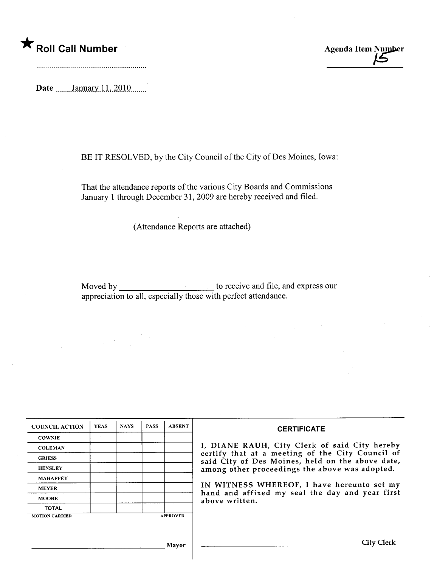Roll Call Number Agenda Item Number

Date  $\frac{\text{January } 11, 2010}{\text{January } 11, 2010}$ 

### BE IT RESOLVED, by the City Council of the City of Des Moines, Iowa:

That the attendance reports of the various City Boards and Commissions January 1 through December 31, 2009 are hereby received and filed.

(Attendance Reports are attached)

Moved by to receive and file, and express our appreciation to all, especially those with perfect attendance.

| <b>YEAS</b> | <b>NAYS</b> | <b>PASS</b> | <b>ABSENT</b> | <b>CERTIFICATE</b>                                                                                   |
|-------------|-------------|-------------|---------------|------------------------------------------------------------------------------------------------------|
|             |             |             |               |                                                                                                      |
|             |             |             |               | I, DIANE RAUH, City Clerk of said City hereby                                                        |
|             |             |             |               | certify that at a meeting of the City Council of<br>said City of Des Moines, held on the above date, |
|             |             |             |               | among other proceedings the above was adopted.                                                       |
|             |             |             |               |                                                                                                      |
|             |             |             |               | IN WITNESS WHEREOF, I have hereunto set my                                                           |
|             |             |             |               | hand and affixed my seal the day and year first<br>above written.                                    |
|             |             |             |               |                                                                                                      |
|             |             |             |               |                                                                                                      |
|             |             |             |               |                                                                                                      |
|             |             |             |               | City                                                                                                 |
|             |             |             |               | <b>APPROVED</b><br>Mavor                                                                             |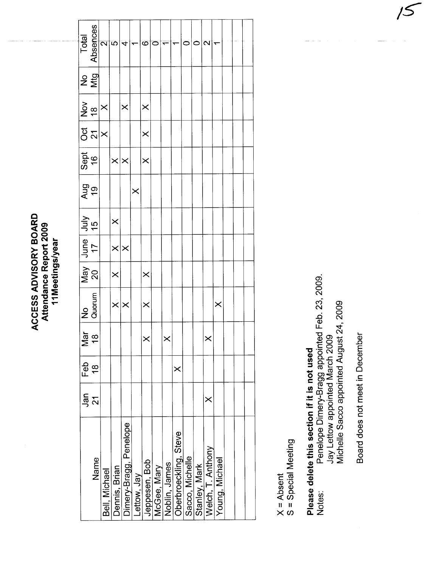| ACCESS ADVISORY BOARI<br>Attendance Report 2009<br>11Meetings/year |
|--------------------------------------------------------------------|
|--------------------------------------------------------------------|

| Total          | Absences                                                                                                       | $\overline{\mathbf{C}}$ | ΙŐ,               | 4                      |             | Õ             | C           |               |                       |                 | Ñ                                  |                |  |  |
|----------------|----------------------------------------------------------------------------------------------------------------|-------------------------|-------------------|------------------------|-------------|---------------|-------------|---------------|-----------------------|-----------------|------------------------------------|----------------|--|--|
| ρ<br>Σ<br>Σ    |                                                                                                                |                         |                   |                        |             |               |             |               |                       |                 |                                    |                |  |  |
|                | $\frac{5}{2}$ $\approx$ $\times$                                                                               |                         |                   | $\times$               |             | $\times$      |             |               |                       |                 |                                    |                |  |  |
|                | ភូ $\frac{1}{2}$ ន                                                                                             |                         |                   |                        |             | $\times$      |             |               |                       |                 |                                    |                |  |  |
| $rac{16}{16}$  |                                                                                                                |                         | $\times$ $\times$ |                        |             | $\times$      |             |               |                       |                 |                                    |                |  |  |
| <b>Aug</b>     |                                                                                                                |                         |                   |                        | $\times$    |               |             |               |                       |                 |                                    |                |  |  |
| $\frac{1}{15}$ |                                                                                                                |                         | $\times$          |                        |             |               |             |               |                       |                 |                                    |                |  |  |
|                | $\begin{array}{c c} \n\text{J} & \text{if} & \text{if} \\ \n\text{J} & \text{if} & \text{if} \\ \n\end{array}$ |                         | $\times \times$   |                        |             |               |             |               |                       |                 |                                    |                |  |  |
|                | $\frac{92}{5}$                                                                                                 |                         | $\times$          |                        |             | $\times$      |             |               |                       |                 |                                    |                |  |  |
| No<br>Quorum   |                                                                                                                |                         | $\times$          |                        |             | $\times$      |             |               |                       |                 |                                    | $\times$       |  |  |
| Σ              | $\frac{1}{\overline{a}} \infty$                                                                                |                         |                   |                        |             |               |             |               |                       |                 |                                    |                |  |  |
| Feb            | $\frac{8}{1}$                                                                                                  |                         |                   |                        |             |               |             |               | ×                     |                 |                                    |                |  |  |
| Jan            | $\overline{2}$                                                                                                 |                         |                   |                        |             |               |             |               |                       |                 | ×                                  |                |  |  |
|                | Name                                                                                                           | Bell, Michael           | Dennis, Brian     | Dimery-Bragg, Penelope | Lettow, Jay | Jeppesen, Bob | McGee, Mary | Noblin, James | Oberbroeckling, Steve | Sacco, Michelle | Stanley, Mark<br>Welch, T. Anthony | Young, Michael |  |  |

X = Absent<br>S = Special Meeting

# Please delete this section if it is not used

Penelope Dimery-Bragg appointed Feb. 23, 2009.<br>Jay Lettow appointed March 2009<br>Michelle Sacco appointed August 24, 2009 Notes:

Board does not meet in December

 $\bar{\mathcal{S}}$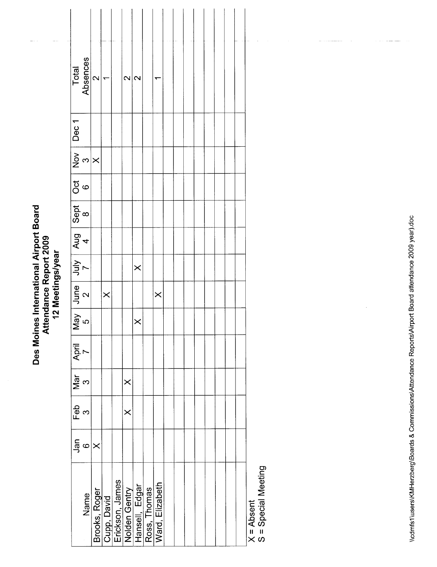| Des Moines International Airport Board<br>Attendance Report 2009<br>12 Meetings/year |
|--------------------------------------------------------------------------------------|
|--------------------------------------------------------------------------------------|

| $rac{1}{\sqrt{2}}$   | Feb Mar April<br>3 3 7 | $\geq$   | May June July Aug Sept Oct Nov Dec 1<br>5 2 7 4 8 6 3<br>X |          |  |  | Total<br>Absences       |  |
|----------------------|------------------------|----------|------------------------------------------------------------|----------|--|--|-------------------------|--|
|                      |                        |          |                                                            |          |  |  |                         |  |
|                      |                        |          |                                                            |          |  |  | $\overline{\mathsf{N}}$ |  |
|                      |                        |          | $\times$                                                   |          |  |  |                         |  |
|                      |                        |          |                                                            |          |  |  |                         |  |
| $\times$<br>$\times$ |                        |          |                                                            |          |  |  | $\mathbf{\Omega}$       |  |
|                      |                        | $\times$ |                                                            | $\times$ |  |  | $\mathbf{\Omega}$       |  |
|                      |                        |          |                                                            |          |  |  |                         |  |
|                      |                        |          | $\times$                                                   |          |  |  |                         |  |
|                      |                        |          |                                                            |          |  |  |                         |  |
|                      |                        |          |                                                            |          |  |  |                         |  |
|                      |                        |          |                                                            |          |  |  |                         |  |
|                      |                        |          |                                                            |          |  |  |                         |  |
|                      |                        |          |                                                            |          |  |  |                         |  |
|                      |                        |          |                                                            |          |  |  |                         |  |
|                      |                        |          |                                                            |          |  |  |                         |  |
|                      |                        |          |                                                            |          |  |  |                         |  |
|                      |                        |          |                                                            |          |  |  |                         |  |

 $\Bigg)$ 

X = Absent<br>S = Special Meeting

 $\overline{\phantom{a}}$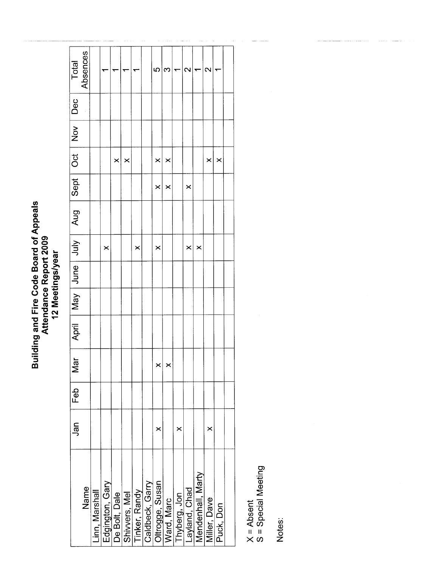## Building and Fire Code Board of Appeals<br>Attendance Report 2009<br>12 Meetings/year

| Total                          | Absences |                |                                  |          |               |               |                 | ယ               | က          |              | $\scriptstyle\sim$ |                   | ົ            |           |  |
|--------------------------------|----------|----------------|----------------------------------|----------|---------------|---------------|-----------------|-----------------|------------|--------------|--------------------|-------------------|--------------|-----------|--|
| <b>Dec</b>                     |          |                |                                  |          |               |               |                 |                 |            |              |                    |                   |              |           |  |
| $\overline{2}$                 |          |                |                                  |          |               |               |                 |                 |            |              |                    |                   |              |           |  |
| $\overline{C}$                 |          |                |                                  | $\times$ | $\times$      |               |                 | $\times$        | ×          |              |                    |                   | $\times$     | $\times$  |  |
|                                |          |                |                                  |          |               |               |                 | $\times$        | ×          |              | $\times$           |                   |              |           |  |
| April May June July Aug Sept   |          |                |                                  |          |               |               |                 |                 |            |              |                    |                   |              |           |  |
|                                |          |                | ×                                |          |               | ×             |                 | $\times$        |            |              | $\times$           | $\times$          |              |           |  |
|                                |          |                |                                  |          |               |               |                 |                 |            |              |                    |                   |              |           |  |
|                                |          |                |                                  |          |               |               |                 |                 |            |              |                    |                   |              |           |  |
|                                |          |                |                                  |          |               |               |                 |                 |            |              |                    |                   |              |           |  |
| $\overline{\overline{a}}$<br>2 |          |                |                                  |          |               |               |                 | $\times$        | ×          |              |                    |                   |              |           |  |
| Feb                            |          |                |                                  |          |               |               |                 |                 |            |              |                    |                   |              |           |  |
| Jan                            |          |                |                                  |          |               |               |                 | ×               |            | ×            |                    |                   | ×            |           |  |
|                                | Name     | Linn, Marshall | Edgington, Gary<br>De Bolt, Dale |          | Shivvers, Mel | Tinker, Randy | Caldbeck, Garry | Oltrogge, Susan | Ward, Marc | Thyberg, Jon | Layland, Chad      | Mendenhall, Marty | Miller, Dave | Puck, Don |  |

X = Absent<br>S = Special Meeting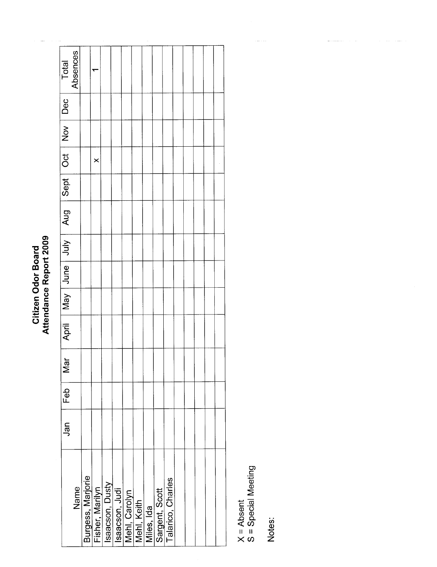### Citizen Odor Board<br>Attendance Report 2009

 $\overline{\phantom{a}}$ 

| Total<br>Absences        |      |                   |   |                                                      |  |                              |            |                |                   |  |  |  |
|--------------------------|------|-------------------|---|------------------------------------------------------|--|------------------------------|------------|----------------|-------------------|--|--|--|
|                          |      |                   |   |                                                      |  |                              |            |                |                   |  |  |  |
| Sept   Oct   Nov   Dec   |      |                   |   |                                                      |  |                              |            |                |                   |  |  |  |
|                          |      |                   | × |                                                      |  |                              |            |                |                   |  |  |  |
|                          |      |                   |   |                                                      |  |                              |            |                |                   |  |  |  |
| April   May   July   Aug |      |                   |   |                                                      |  |                              |            |                |                   |  |  |  |
|                          |      |                   |   |                                                      |  |                              |            |                |                   |  |  |  |
|                          |      |                   |   |                                                      |  |                              |            |                |                   |  |  |  |
|                          |      |                   |   |                                                      |  |                              |            |                |                   |  |  |  |
|                          |      |                   |   |                                                      |  |                              |            |                |                   |  |  |  |
| Σă                       |      |                   |   |                                                      |  |                              |            |                |                   |  |  |  |
| Feb                      |      |                   |   |                                                      |  |                              |            |                |                   |  |  |  |
| Jan                      |      |                   |   |                                                      |  |                              |            |                |                   |  |  |  |
|                          | Name | Burgess, Marjorie |   | Fisher, Marilyn<br>Isaacson, Dusty<br>Isaacson, Judi |  | Mehl, Carolyn<br>Mehl, Keith | Miles, Ida | Sargent, Scott | Talarico, Charles |  |  |  |

X = Absent<br>S = Special Meeting

Notes:

 $\frac{1}{2} \left( \frac{1}{2} \left( \frac{1}{2} \left( \frac{1}{2} \left( \frac{1}{2} \left( \frac{1}{2} \left( \frac{1}{2} \left( \frac{1}{2} \left( \frac{1}{2} \left( \frac{1}{2} \right) \right) - \frac{1}{2} \left( \frac{1}{2} \left( \frac{1}{2} \left( \frac{1}{2} \right) \right) - \frac{1}{2} \left( \frac{1}{2} \left( \frac{1}{2} \left( \frac{1}{2} \right) \right) - \frac{1}{2} \left( \frac{1}{2} \left( \frac{1}{2} \$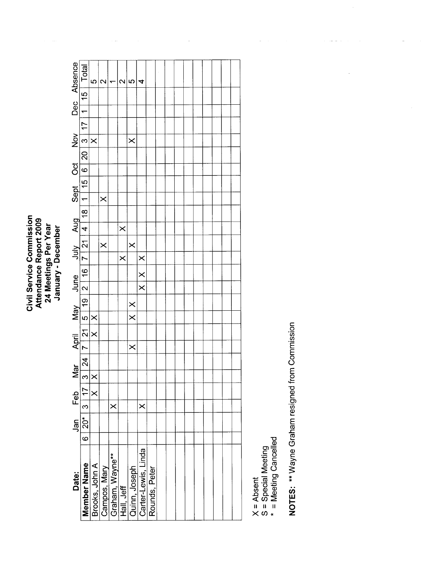Civil Service Commission<br>Attendance Report 2009<br>24 Meetings Per Year<br>January - December Civil Service Commission Attendance Report 2009 24 Meetings Per Year January - December

| Dec Absence    | Total                    | ıΩ                  | $\mathsf{\alpha}$ | ₹               | $\mathrel{\sim}$ | ഥ                           | 4                       |               |  |  |  |  |  |
|----------------|--------------------------|---------------------|-------------------|-----------------|------------------|-----------------------------|-------------------------|---------------|--|--|--|--|--|
|                |                          |                     |                   |                 |                  |                             |                         |               |  |  |  |  |  |
|                | $ 1 $ 15                 |                     |                   |                 |                  |                             |                         |               |  |  |  |  |  |
|                |                          |                     |                   |                 |                  |                             |                         |               |  |  |  |  |  |
| $\frac{1}{2}$  |                          | $\times$            |                   |                 |                  | $\times$                    |                         |               |  |  |  |  |  |
|                | 1   15   6   20   3   17 |                     |                   |                 |                  |                             |                         |               |  |  |  |  |  |
|                |                          |                     |                   |                 |                  |                             |                         |               |  |  |  |  |  |
| Sept Oct       |                          |                     |                   |                 |                  |                             |                         |               |  |  |  |  |  |
|                |                          |                     | $\times$          |                 |                  |                             |                         |               |  |  |  |  |  |
|                | 4   18                   |                     |                   |                 |                  |                             |                         |               |  |  |  |  |  |
|                |                          |                     |                   |                 | $\times$         |                             |                         |               |  |  |  |  |  |
| June viuly Aug | 2   16   7   21          |                     | $\times$          |                 |                  | $\times$                    |                         |               |  |  |  |  |  |
|                |                          |                     |                   |                 | $\times$         |                             | $\times$                |               |  |  |  |  |  |
|                |                          |                     |                   |                 |                  |                             | $\times$                |               |  |  |  |  |  |
|                |                          |                     |                   |                 |                  |                             | $\overline{\mathsf{x}}$ |               |  |  |  |  |  |
|                |                          |                     |                   |                 |                  |                             |                         |               |  |  |  |  |  |
|                |                          |                     |                   |                 |                  | $\times$<br>$\times$        |                         |               |  |  |  |  |  |
| April May      | 7   21   5   19          | $\times$   $\times$ |                   |                 |                  |                             |                         |               |  |  |  |  |  |
|                |                          |                     |                   |                 |                  | $\times$                    |                         |               |  |  |  |  |  |
| Mar<br>        | $\frac{1}{24}$           |                     |                   |                 |                  |                             |                         |               |  |  |  |  |  |
|                | $\frac{1}{3}$            |                     |                   |                 |                  |                             |                         |               |  |  |  |  |  |
|                | 3   17                   | $\times$            |                   |                 |                  |                             |                         |               |  |  |  |  |  |
|                |                          |                     |                   | $\times$        |                  |                             | $\times$                |               |  |  |  |  |  |
| Jan Feb        | $6 20*$                  |                     |                   |                 |                  |                             |                         |               |  |  |  |  |  |
|                |                          |                     |                   |                 |                  |                             |                         |               |  |  |  |  |  |
|                |                          |                     |                   |                 |                  |                             |                         |               |  |  |  |  |  |
|                |                          |                     |                   |                 |                  |                             |                         |               |  |  |  |  |  |
| Date:          |                          |                     |                   |                 |                  |                             |                         |               |  |  |  |  |  |
|                |                          |                     |                   |                 |                  |                             |                         |               |  |  |  |  |  |
|                | <b>Member Name</b>       | Brooks, John A      | Campos, Mary      | Graham, Wayne** |                  | Hall, Jeff<br>Quinn, Joseph | Carter-Lewis, Linda     | Rounds, Peter |  |  |  |  |  |
|                |                          |                     |                   |                 |                  |                             |                         |               |  |  |  |  |  |

 $\mathbb{Z}^2$ 

ł,

à,

S = Special Meeting

X = Absent<br>S = Special Meeting<br>\* = Meeting Cancelled \* = Meeting Cancelled

NOTES: \*\* Wayne Graham resigned from Commission NOTES: \*\* Wayne Graham resigned from Commission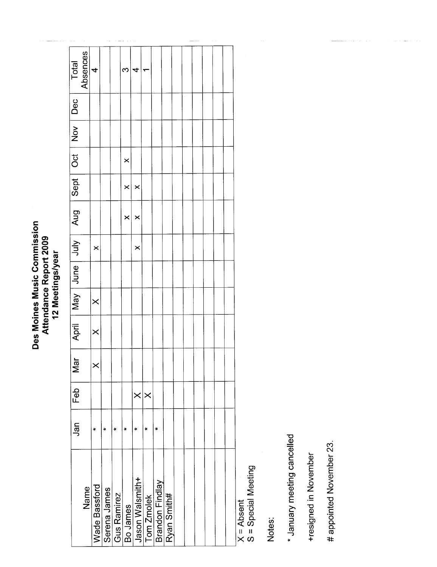### Des Moines Music Commission<br>Attendance Report 2009<br>12 Meetings/year Des Moines Music Commission Attendance Report 2009 12 Meetings/year

| Total                                        | Absences | $\overline{r}$ |              |                      | Ω         | 4               |                       |                 |             |  |  |  |
|----------------------------------------------|----------|----------------|--------------|----------------------|-----------|-----------------|-----------------------|-----------------|-------------|--|--|--|
|                                              |          |                |              |                      |           |                 |                       |                 |             |  |  |  |
|                                              |          |                |              |                      |           |                 |                       |                 |             |  |  |  |
|                                              |          |                |              |                      | $\times$  |                 |                       |                 |             |  |  |  |
|                                              |          |                |              |                      | $\times$  | ×               |                       |                 |             |  |  |  |
| April   May   June   Juny   Aug   Sept   Dec |          |                |              |                      | $\times$  | ×               |                       |                 |             |  |  |  |
|                                              |          | $\times$       |              |                      |           | $\times$        |                       |                 |             |  |  |  |
|                                              |          |                |              |                      |           |                 |                       |                 |             |  |  |  |
|                                              |          | $\times$       |              |                      |           |                 |                       |                 |             |  |  |  |
|                                              |          | $\times$       |              |                      |           |                 |                       |                 |             |  |  |  |
| $\overline{a}$<br>Σ                          |          | Ć              |              |                      |           |                 |                       |                 |             |  |  |  |
| Feb                                          |          |                |              |                      |           | $\times$        | $\boldsymbol{\times}$ |                 |             |  |  |  |
| Jan                                          |          | ×              | $\star$      | $\ddot{\phantom{1}}$ | $\ddot{}$ | ÷               | ×                     | $\ddot{}$       |             |  |  |  |
|                                              | Name     | Wade Bassford  | Serena James | Gus Ramirez          | Bo James  | Jason Walsmith+ | Tom Zmolek            | Brandon Findlay | Ryan Smith# |  |  |  |

X = Absent<br>S = Special Meeting S = Special Meeting

Notes:

\* January meeting cancelled \* January meeting cancelled

+resigned in November +resigned in November

# appointed November 23. # appointed November 23.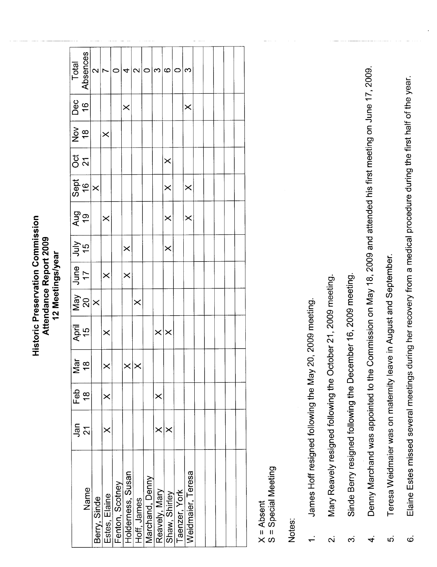**Historic Preservation Commission** Historic Preservation Commission Attendance Report 2009 Attendance Report 2009 12 Meetings/year 12 Meetings/year

| Total             | Absences                                                                 | $\mathbf{\Omega}$ |               | c               | 4                 | $\mathbf{\Omega}$ | $\circ$         | က             | $\circ$         | c             | ω                 |  |  |  |
|-------------------|--------------------------------------------------------------------------|-------------------|---------------|-----------------|-------------------|-------------------|-----------------|---------------|-----------------|---------------|-------------------|--|--|--|
| Dec               | $\frac{6}{1}$                                                            |                   |               |                 | $\times$          |                   |                 |               |                 |               | $\times$          |  |  |  |
| $\frac{8}{18}$    |                                                                          |                   | $\times$      |                 |                   |                   |                 |               |                 |               |                   |  |  |  |
| <b>ី</b> <        |                                                                          |                   |               |                 |                   |                   |                 |               | $\times$        |               |                   |  |  |  |
|                   | Sept<br>16                                                               | $\times$          |               |                 |                   |                   |                 |               | $\times$        |               | $\times$          |  |  |  |
| $\frac{61}{5}$    |                                                                          |                   | $\times$      |                 |                   |                   |                 |               | $\times$        |               | $\times$          |  |  |  |
| July<br>15        |                                                                          |                   |               |                 | $\times$          |                   |                 |               | $\times$        |               |                   |  |  |  |
|                   | May $\begin{array}{ c c }\n\hline\n& 17 \\ \hline\n20 & 17\n\end{array}$ |                   | $\times$      |                 | $\times$          |                   |                 |               |                 |               |                   |  |  |  |
|                   |                                                                          | $ \times$         |               |                 |                   | $\times$          |                 |               |                 |               |                   |  |  |  |
| April<br>15<br>15 |                                                                          |                   | $\times$      |                 |                   |                   |                 |               | $\times \times$ |               |                   |  |  |  |
| ≥                 | $\frac{5}{9}$                                                            |                   | $\times$      |                 |                   | $\times$ $\times$ |                 |               |                 |               |                   |  |  |  |
| Feb               | $\frac{8}{1}$                                                            |                   | $\times$      |                 |                   |                   |                 | $\times$      |                 |               |                   |  |  |  |
| Jan               | $\overline{\mathcal{S}}$                                                 |                   |               |                 |                   |                   |                 | ×             | ×               |               |                   |  |  |  |
|                   | Name                                                                     | Berry, Sinde      | Estes, Elaine | Fenton, Scotney | Holderness, Susan | Hoff, James       | Marchand, Denny | Reavely, Mary | Shaw, Shirley   | Taenzer, York | Weidmaier, Teresa |  |  |  |

X = Absent<br>S = Special Meeting

S = Special Meeting

- James Hoff resigned following the May 20, 2009 meeting. 1. James Hoff resigned following the May 20, 2009 meeting.  $\div$
- Mary Reavely resigned following the October 21, 2009 meeting. 2. Mary Reavely resigned following the October 21,2009 meeting.  $\overline{\mathbf{v}}$
- Sinde Berry resigned following the December 16, 2009 meeting. 3. Sinde Berry resigned following the December 16, 2009 meeting.  $\dot{\infty}$
- Denny Marchand was appointed to the Commission on May 18, 2009 and attended his first meeting on June 17, 2009. 4. Denny Marchand was appointed to the Commission on May 18, 2009 and attended his first meeting on June 17, 2009  $\dot{+}$
- Teresa Weidmaier was on maternity leave in August and September. 5. Teresa Weidmaier was on maternity leave in August and September. ທ່
- Elaine Estes missed several meetings during her recovery from a medical procedure during the first half of the year. 6. Elaine Estes missed several meetings during her recovery from a medical procedure during the first half of the year. $\dot{\circ}$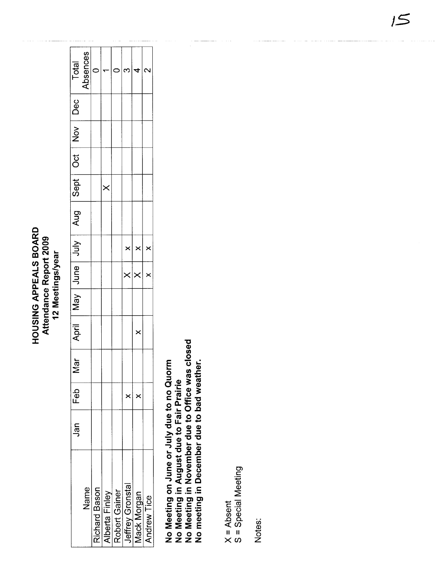### HOUSING APPEALS BOARD Attendance Report 2009<br>12 Meetings/year

|                                                                                                    | Jan | Feb      | ă<br>Ź |          |  |   | April   May   June   July   Aug   Sept   Oct   Nov   Dec |          |  | Total    |
|----------------------------------------------------------------------------------------------------|-----|----------|--------|----------|--|---|----------------------------------------------------------|----------|--|----------|
| Name                                                                                               |     |          |        |          |  |   |                                                          |          |  | Absences |
|                                                                                                    |     |          |        |          |  |   |                                                          |          |  |          |
|                                                                                                    |     |          |        |          |  |   |                                                          | $\times$ |  |          |
|                                                                                                    |     |          |        |          |  |   |                                                          |          |  |          |
| Richard Bason<br>Alberta Finley<br>Robert Gainer<br>Jeffrey Gronstal<br>Mack Morgan<br>Andrew Tice |     | $\times$ |        |          |  | × |                                                          |          |  |          |
|                                                                                                    |     | $\times$ |        | $\times$ |  |   |                                                          |          |  |          |
|                                                                                                    |     |          |        |          |  |   |                                                          |          |  |          |
|                                                                                                    |     |          |        |          |  |   |                                                          |          |  |          |

No Meeting on June or July due to no Quorm<br>No Meeting in August due to Fair Prairie<br>No Meeting in November due to Office was closed<br>No meeting in December due to bad weather.

X = Absent<br>S = Special Meeting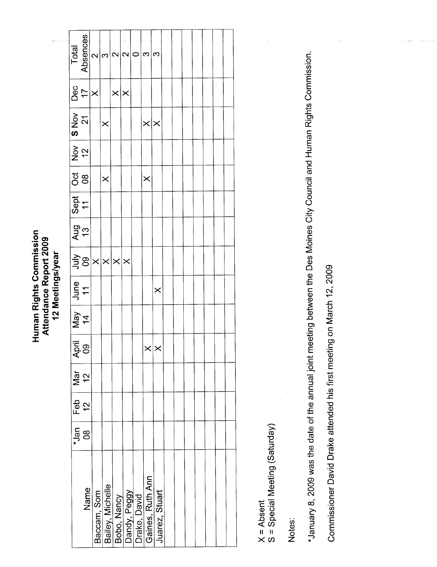Human Rights Commission<br>Attendance Report 2009<br>12 Meetings/year

| Total                                                                       | Absences                            | $\mathbf{\Omega}$ | S                                              |                   | $\sim$ $\sim$ | $\circ$                      | က                | က                 |  |  |  |  |
|-----------------------------------------------------------------------------|-------------------------------------|-------------------|------------------------------------------------|-------------------|---------------|------------------------------|------------------|-------------------|--|--|--|--|
|                                                                             | $\frac{17}{7}$                      |                   |                                                | $\times$ $\times$ |               |                              |                  |                   |  |  |  |  |
| S Nov                                                                       | $\overline{2}$                      |                   | $\times$                                       |                   |               |                              | $\times \times$  |                   |  |  |  |  |
| $\begin{array}{c}\n\overline{N_{\text{OV}}}\n\\ \overline{12}\n\end{array}$ |                                     |                   |                                                |                   |               |                              |                  |                   |  |  |  |  |
| <b>Oct</b><br>08                                                            |                                     |                   | $\times$                                       |                   |               |                              | $\times$         |                   |  |  |  |  |
| Sept<br>11                                                                  |                                     |                   |                                                |                   |               |                              |                  |                   |  |  |  |  |
| $\frac{\overline{Aug}}{13}$                                                 |                                     |                   |                                                |                   |               |                              |                  |                   |  |  |  |  |
|                                                                             | $\frac{1}{2}$ g $x$ $x$ $x$ $x$ $x$ |                   |                                                |                   |               |                              |                  |                   |  |  |  |  |
|                                                                             | $rac{e}{11}$                        |                   |                                                |                   |               |                              |                  | $\times$          |  |  |  |  |
|                                                                             | $\frac{1}{\sqrt{e}}$                |                   |                                                |                   |               |                              |                  |                   |  |  |  |  |
|                                                                             | April<br>09                         |                   |                                                |                   |               |                              |                  | $\times$ $\times$ |  |  |  |  |
| Mar                                                                         | $\frac{12}{2}$                      |                   |                                                |                   |               |                              |                  |                   |  |  |  |  |
| Feb $\overline{a}$                                                          | $\frac{2}{\sqrt{2}}$                |                   |                                                |                   |               |                              |                  |                   |  |  |  |  |
|                                                                             | $\frac{1}{2}$                       |                   |                                                |                   |               |                              |                  |                   |  |  |  |  |
|                                                                             | Name                                |                   | Baccam, Som<br>Bailey, Michelle<br>Bobo, Nancy |                   |               | Dandy, Peggy<br>Drake, David | Gaines, Ruth Ann | Juarez, Stuart    |  |  |  |  |

X = Absent<br>S = Special Meeting (Saturday)

Notes:

\*January 8, 2009 was the date of the annual joint meeting between the Des Moines City Council and Human Rights Commission.

Commissioner David Drake attended his first meeting on March 12, 2009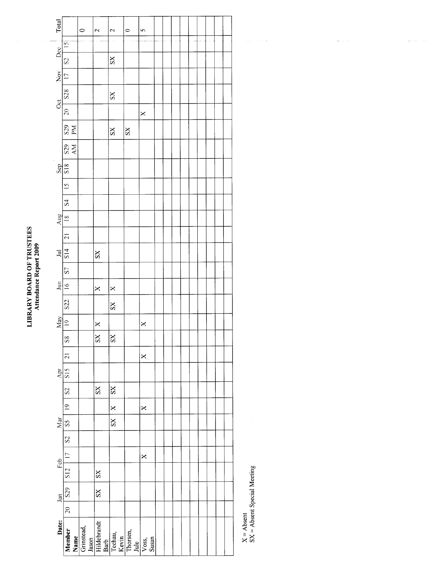## LIBRARY BOARD OF TRUSTEES<br>Attendance Report 2009

|                                                            | Total                 |                               | $\circ$ | $\mathbf{\Omega}$                                                                                                              | 2                     | $\circ$ | 5        |  |  |  |  |  |
|------------------------------------------------------------|-----------------------|-------------------------------|---------|--------------------------------------------------------------------------------------------------------------------------------|-----------------------|---------|----------|--|--|--|--|--|
|                                                            |                       | $\overline{5}$                |         |                                                                                                                                |                       |         |          |  |  |  |  |  |
|                                                            | Dec                   | S <sub>2</sub>                |         |                                                                                                                                | SS                    |         |          |  |  |  |  |  |
|                                                            | $\sum_{i=1}^{\infty}$ | $\overline{C}$                |         |                                                                                                                                |                       |         |          |  |  |  |  |  |
|                                                            |                       | S <sub>28</sub>               |         |                                                                                                                                | $S_{\rm X}$           |         |          |  |  |  |  |  |
|                                                            | $\alpha$              | $\frac{1}{20}$                |         |                                                                                                                                |                       |         | $\times$ |  |  |  |  |  |
|                                                            |                       | $\frac{S29}{PN}$              |         |                                                                                                                                | $S_{\rm X}$           | SS      |          |  |  |  |  |  |
|                                                            |                       | <b>S29</b><br>AM              |         |                                                                                                                                |                       |         |          |  |  |  |  |  |
|                                                            | Sep                   | $\frac{8}{18}$                |         |                                                                                                                                |                       |         |          |  |  |  |  |  |
|                                                            |                       | $\frac{5}{15}$                |         |                                                                                                                                |                       |         |          |  |  |  |  |  |
|                                                            |                       | $\overline{S}$                |         |                                                                                                                                |                       |         |          |  |  |  |  |  |
|                                                            | Aug                   | $\frac{8}{1}$                 |         |                                                                                                                                |                       |         |          |  |  |  |  |  |
|                                                            |                       | $\overline{a}$                |         |                                                                                                                                |                       |         |          |  |  |  |  |  |
| <b>LIBRARY BOARD OF TRUSTEES</b><br>Attendance Report 2009 | $\Xi$                 | S14                           |         | SX <sub>3</sub>                                                                                                                |                       |         |          |  |  |  |  |  |
|                                                            |                       | $\overline{S}$                |         |                                                                                                                                |                       |         |          |  |  |  |  |  |
|                                                            | $\Xi$                 | $\frac{6}{1}$                 |         | ×                                                                                                                              | $\times$              |         |          |  |  |  |  |  |
|                                                            |                       | <b>S22</b>                    |         |                                                                                                                                | $S_{X}$               |         |          |  |  |  |  |  |
|                                                            | May                   | $\approx$                     |         | $\times$                                                                                                                       |                       |         | $\times$ |  |  |  |  |  |
|                                                            |                       | $\overline{\text{S}}\text{S}$ |         | $S_{\rm X}$                                                                                                                    | SS                    |         |          |  |  |  |  |  |
|                                                            |                       | $\overline{z}$                |         |                                                                                                                                |                       |         | $\times$ |  |  |  |  |  |
|                                                            | Apr                   | S15                           |         |                                                                                                                                |                       |         |          |  |  |  |  |  |
|                                                            |                       | $\overline{S}$                |         | SS                                                                                                                             | $\overline{\text{S}}$ |         |          |  |  |  |  |  |
|                                                            |                       | $\overline{6}$                |         |                                                                                                                                | $\times$              |         | $\times$ |  |  |  |  |  |
|                                                            | Mar                   | SS                            |         |                                                                                                                                | $S_{\rm X}$           |         |          |  |  |  |  |  |
|                                                            |                       | S <sub>2</sub>                |         |                                                                                                                                |                       |         |          |  |  |  |  |  |
|                                                            | Feb                   | $\overline{17}$               |         |                                                                                                                                |                       |         | $\times$ |  |  |  |  |  |
|                                                            |                       | $\frac{1}{15}$                |         | SS                                                                                                                             |                       |         |          |  |  |  |  |  |
|                                                            | Jan                   | S <sub>29</sub>               |         | SS                                                                                                                             |                       |         |          |  |  |  |  |  |
|                                                            |                       | $\overline{20}$               |         |                                                                                                                                |                       |         |          |  |  |  |  |  |
|                                                            | Date:                 |                               |         | Member<br>Name<br>Grinstead,<br>Hildebrandt<br>Hildebrandt<br>Rechau,<br>Thorsen,<br>Noss,<br>Voss,<br>Voss,<br>Susan<br>Susan |                       |         |          |  |  |  |  |  |

 $X =$  Absent<br> $SX =$  Absent Special Meeting

 $\hat{\alpha}$  , and  $\hat{\alpha}$  , and  $\hat{\alpha}$ 

 $\omega_{\rm{max}}$  ,  $\omega_{\rm{max}}$ 

 $\omega_{\rm{max}}$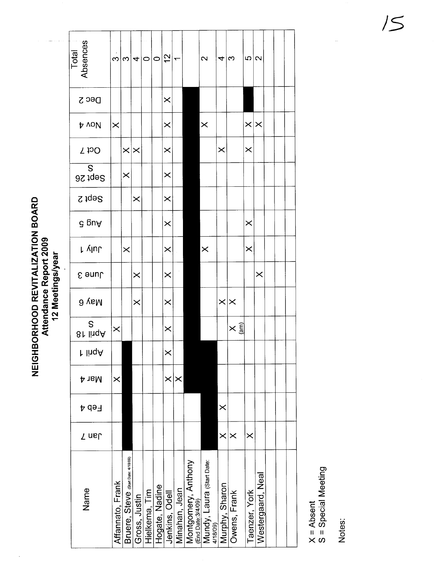| Total<br>Absences |                  |                                   |               | $\omega \omega $ ႕ $ \infty $ |                | $\frac{2}{3}$  |               |                                                     | 2                                     | $4\omega$         |                      | ഥ∣              | $\mathbf{\Omega}$ |  |
|-------------------|------------------|-----------------------------------|---------------|-------------------------------|----------------|----------------|---------------|-----------------------------------------------------|---------------------------------------|-------------------|----------------------|-----------------|-------------------|--|
| Dec <sub>2</sub>  |                  |                                   |               |                               |                | $\times$       |               |                                                     |                                       |                   |                      |                 |                   |  |
| <b>b</b> voll     | $\times$         |                                   |               |                               |                | $\times$       |               |                                                     | $\times$                              |                   |                      | $\times \times$ |                   |  |
| <b>Sct 7</b>      |                  | $\times$                          | $\times$      |                               |                | $\times$       |               |                                                     |                                       | $\times$          |                      | $\times$        |                   |  |
| S<br>Sept 26      |                  | $\times$                          |               |                               |                | $\times$       |               |                                                     |                                       |                   |                      |                 |                   |  |
| Sept 2            |                  |                                   | $\times$      |                               |                | $\times$       |               |                                                     |                                       |                   |                      |                 |                   |  |
| ∂ puA             |                  |                                   |               |                               |                | $\times$       |               |                                                     |                                       |                   |                      | $\times$        |                   |  |
| ւ γևե             |                  | $\times$                          |               |                               |                | $\times$       |               |                                                     | $\times$                              |                   |                      | $\times$        |                   |  |
| June 3            |                  |                                   | $\times$      |                               |                | $\times$       |               |                                                     |                                       |                   |                      |                 | $\times$          |  |
| d yaM             |                  |                                   | $\times$      |                               |                | $\times$       |               |                                                     |                                       | $\times$ $\times$ |                      |                 |                   |  |
| S<br>81 lingA     | $\times$         |                                   |               |                               |                | $\times$       |               |                                                     |                                       |                   | $\times \frac{1}{5}$ |                 |                   |  |
| r linqA           |                  |                                   |               |                               |                | ×              |               |                                                     |                                       |                   |                      |                 |                   |  |
| <b>Mar4</b>       | $\times$         |                                   |               |                               |                | $\times$       | $\times$      |                                                     |                                       |                   |                      |                 |                   |  |
| Feb<br>Þ          |                  |                                   |               |                               |                |                |               |                                                     |                                       | $\times$          |                      |                 |                   |  |
| Jan 7             |                  |                                   |               |                               |                |                |               |                                                     |                                       | $\times$          | $\bm{\times}$        | $\times$        |                   |  |
| Name              | Affannato, Frank | Bruere, Steve (Stan Date, 4/1809) | Gross, Justin | Hielkema, Tim                 | Hogate, Nadine | Jenkins, Odell | Minahan, Jean | Montgomery, Anthony<br><sub>(End Date:3/4/09)</sub> | Mundy, Laura (start Date:<br>4/18/09) | Murphy, Sharon    | Owens, Frank         | Taenzer, York   | Westergaard, Neal |  |

X = Absent<br>S = Special Meeting

Notes:

# NEIGHBORHOOD REVITALIZATION BOARD<br>Attendance Report 2009<br>12 Meetings/year

 $15$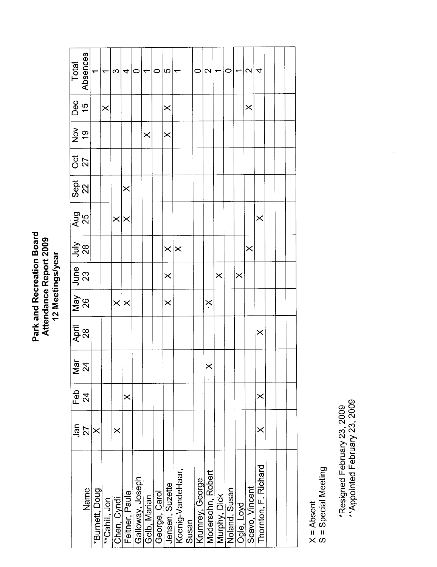Park and Recreation Board<br>Attendance Report 2009<br>12 Meetings/year

| Total                       | Absences |                |               | က           | 4              | 0                |              | $\circ$       | 5                 |                   |       | 0               | $\mathbf{\Omega}$ |              | 0             |            | $\mathbf{\Omega}$ | 4                    |  |  |
|-----------------------------|----------|----------------|---------------|-------------|----------------|------------------|--------------|---------------|-------------------|-------------------|-------|-----------------|-------------------|--------------|---------------|------------|-------------------|----------------------|--|--|
| Dec<br>15                   |          |                | $\times$      |             |                |                  |              |               | $\times$          |                   |       |                 |                   |              |               |            | $\times$          |                      |  |  |
| )<br>၁၉<br>၁                |          |                |               |             |                |                  | $\times$     |               | $\times$          |                   |       |                 |                   |              |               |            |                   |                      |  |  |
| ០៥<br>27                    |          |                |               |             |                |                  |              |               |                   |                   |       |                 |                   |              |               |            |                   |                      |  |  |
| Sept<br>22                  |          |                |               |             | $\times$       |                  |              |               |                   |                   |       |                 |                   |              |               |            |                   |                      |  |  |
| $\frac{5}{25}$              |          |                |               | $\times$    | $\times$       |                  |              |               |                   |                   |       |                 |                   |              |               |            |                   | $\times$             |  |  |
| $rac{5}{28}$                |          |                |               |             |                |                  |              |               | $\times$ $\times$ |                   |       |                 |                   |              |               |            | $\times$          |                      |  |  |
| June<br>23                  |          |                |               |             |                |                  |              |               | $\times$          |                   |       |                 |                   | $\times$     |               | $\times$   |                   |                      |  |  |
| $\frac{92}{26}$             |          |                |               | $\times$    | $\times$       |                  |              |               | $\times$          |                   |       |                 | $\times$          |              |               |            |                   |                      |  |  |
| April<br>28                 |          |                |               |             |                |                  |              |               |                   |                   |       |                 |                   |              |               |            |                   | $\times$             |  |  |
| $\frac{5}{2}$ $\frac{4}{2}$ |          |                |               |             |                |                  |              |               |                   |                   |       |                 | $\bm{\times}$     |              |               |            |                   |                      |  |  |
| 운<br>도                      | 24       |                |               |             | $\times$       |                  |              |               |                   |                   |       |                 |                   |              |               |            |                   | $\times$             |  |  |
| Jan                         | 27       | $\times$       |               | $\times$    |                |                  |              |               |                   |                   |       |                 |                   |              |               |            |                   | ×                    |  |  |
|                             | Name     | *Burnett, Doug | **Cahill, Jon | Chen, Cyndi | Feltner, Paula | Galloway, Joseph | Gelb, Marian | George, Carol | Jensen, Suzette   | Koenig-VandeHaar, | Susan | Krumrey, George | Modersohn, Robert | Murphy, Dick | Noland, Susan | Ogle, Loyd | Scavo, Vincent    | Thornton, F. Richard |  |  |

X = Absent<br>S = Special Meeting

\*Resigned February 23, 2009<br>\*\*Appointed February 23, 2009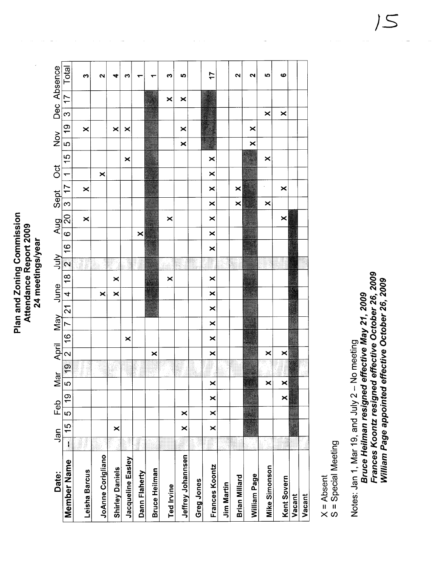Plan and Zoning Commission<br>Attendance Report 2009 Plan and Zoning Commission Attendance Report 2009 24 meetings/year 24 meetings/year

| Date:                    |              | Jan                   | Feb      |               | $\mathbb{Z}$ | $\lfloor$     | April                   |    | <b>May</b>     |                | June                            |        | 小儿            |                | Aug                   |          | Sept                  | $\overline{c}$ |               | $\frac{8}{2}$ |           |               |                | Dec Absence |
|--------------------------|--------------|-----------------------|----------|---------------|--------------|---------------|-------------------------|----|----------------|----------------|---------------------------------|--------|---------------|----------------|-----------------------|----------|-----------------------|----------------|---------------|---------------|-----------|---------------|----------------|-------------|
| Member Name              | $\mathbf{I}$ | 15                    | ယ        | $\frac{6}{5}$ | $\circ$      | $\frac{1}{2}$ | $\mathsf{N}$            | 16 | $\overline{ }$ | $\frac{1}{21}$ | $\frac{18}{ }$<br>$\frac{1}{4}$ | $\sim$ | $\frac{6}{1}$ | $\overline{6}$ | $\frac{1}{20}$        | $\infty$ | $\overline{7}$        | $\overline{ }$ | $\frac{5}{1}$ | c             | <u>ဝှ</u> | $\frac{1}{3}$ | $\overline{7}$ | Total       |
| Leisha Barcus            |              |                       |          |               |              |               |                         |    |                |                |                                 |        |               |                | $\boldsymbol{\times}$ |          | $\boldsymbol{\times}$ |                |               |               | ×         |               |                | က           |
| <b>JoAnne Corigliano</b> |              |                       |          |               |              |               |                         |    |                |                | ×                               |        |               |                |                       |          |                       | ×              |               |               |           |               |                | ี           |
| <b>Shirley Daniels</b>   |              | $\boldsymbol{\times}$ |          |               |              |               |                         |    |                |                | ×<br>×                          |        |               |                |                       |          |                       |                |               |               | ×         |               |                | 4           |
| Jacqueline Easley        |              |                       |          |               |              |               |                         | ×  |                |                |                                 |        |               |                |                       |          |                       |                | ×             |               | ×         |               |                | ∾           |
| Dann Flaherty            |              |                       |          |               |              |               |                         |    |                |                |                                 |        |               | ×              |                       |          |                       |                |               |               |           |               |                |             |
| Bruce Heilman            |              |                       |          |               |              |               | ×                       |    |                |                |                                 |        |               |                |                       |          |                       |                |               |               |           |               |                |             |
| <b>Ted Irvine</b>        |              |                       |          |               |              |               |                         |    |                |                | ×                               |        |               |                | ×                     |          |                       |                |               |               |           |               | ×              | ∾           |
| Jeffrey Johannsen        |              | ×                     | ×        |               |              |               |                         |    |                |                |                                 |        |               |                |                       |          |                       |                |               | ×             | ×         |               | ×              | <b>I</b>    |
| <b>Greg Jones</b>        |              |                       |          |               |              |               |                         |    |                |                |                                 |        |               |                |                       |          |                       |                |               |               |           |               |                |             |
| Frances Koontz           |              | ×                     | $\times$ | ×             | ×            |               | $\overline{\mathsf{x}}$ | ×  | $\times$       | ×              | ×<br>×                          |        | ×             | ×              | ×                     | ×        | ×                     | ×              | ×             |               |           |               |                | 17          |
| <b>Jim Martin</b>        |              |                       |          |               |              |               |                         |    |                |                |                                 |        |               |                |                       |          |                       |                |               |               |           |               |                |             |
| Brian Millard            |              |                       |          |               |              |               |                         |    |                |                |                                 |        |               |                |                       | ×        | ×                     |                |               |               |           |               |                | N           |
| William Page             |              |                       |          |               |              |               |                         |    |                |                |                                 |        |               |                |                       |          |                       |                |               | ×             | ×         |               |                | ี           |
| <b>Mike Simonson</b>     |              |                       |          |               | ×            |               | ×                       |    |                |                |                                 |        |               |                |                       | ×        |                       |                | ×             |               |           | ×             |                | ю           |
| Kent Sovern              |              |                       |          | $\times$      | $\times$     |               | ×                       |    |                |                |                                 |        |               |                | $\boldsymbol{\times}$ |          | ×                     |                |               |               |           | ×             |                | ဖ           |
| Vacant                   |              |                       |          |               |              |               |                         |    |                |                |                                 |        |               |                |                       |          |                       |                |               |               |           |               |                |             |
| Vacant                   |              |                       |          |               |              |               |                         |    |                |                |                                 |        |               |                |                       |          |                       |                |               |               |           |               |                |             |

 $X = Absent$ 

 $S = Special Meeting$ S = Special Meeting

Frances Koontz resigned effective October 26, 2009 Frances Koontz resigned effective October 26, 2009 William Page appointed effective October 26, 2009 Willam Page appointed effective October 26, 2009 Bruce Heilman resigned effective May 21, 2009 Bruce Heilman resigned effective May 21, 2009 Notes: Jan 1, Mar 19, and July 2 - No meeting Notes: Jan 1, Mar 19, and July 2 - No meeting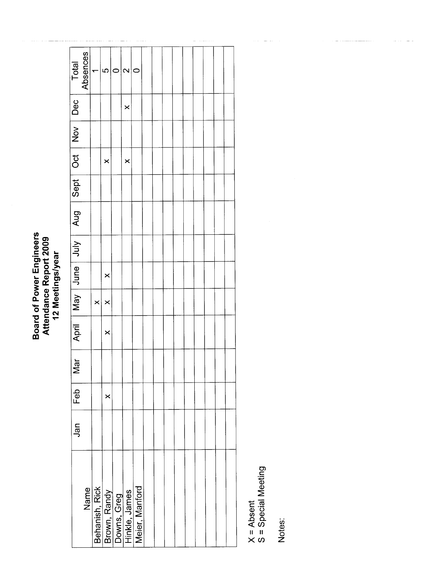## **Board of Power Engineers<br>Attendance Report 2009<br>12 Meetings/year**

| Total                                              | Absences | ᡕ        | 5                                                                                | ⊂ | $\sim$   | c |  |  |  |  |  |
|----------------------------------------------------|----------|----------|----------------------------------------------------------------------------------|---|----------|---|--|--|--|--|--|
|                                                    |          |          |                                                                                  |   | $\times$ |   |  |  |  |  |  |
|                                                    |          |          |                                                                                  |   |          |   |  |  |  |  |  |
|                                                    |          |          | ×                                                                                |   | $\times$ |   |  |  |  |  |  |
|                                                    |          |          |                                                                                  |   |          |   |  |  |  |  |  |
| April May June July   Aug   Sept   Oct   Nov   Dec |          |          |                                                                                  |   |          |   |  |  |  |  |  |
|                                                    |          |          |                                                                                  |   |          |   |  |  |  |  |  |
|                                                    |          |          | ×                                                                                |   |          |   |  |  |  |  |  |
|                                                    |          | $\times$ | $\times$                                                                         |   |          |   |  |  |  |  |  |
|                                                    |          |          | $\times$                                                                         |   |          |   |  |  |  |  |  |
| Mar                                                |          |          |                                                                                  |   |          |   |  |  |  |  |  |
| Feb                                                |          |          | ×                                                                                |   |          |   |  |  |  |  |  |
| Jan                                                |          |          |                                                                                  |   |          |   |  |  |  |  |  |
|                                                    |          |          |                                                                                  |   |          |   |  |  |  |  |  |
|                                                    | Name     |          | Behanish, Rick<br>Brown, Randy<br>Downs, Greg<br>Hinkle, James<br>Meier, Manford |   |          |   |  |  |  |  |  |
|                                                    |          |          |                                                                                  |   |          |   |  |  |  |  |  |

X = Absent<br>S = Special Meeting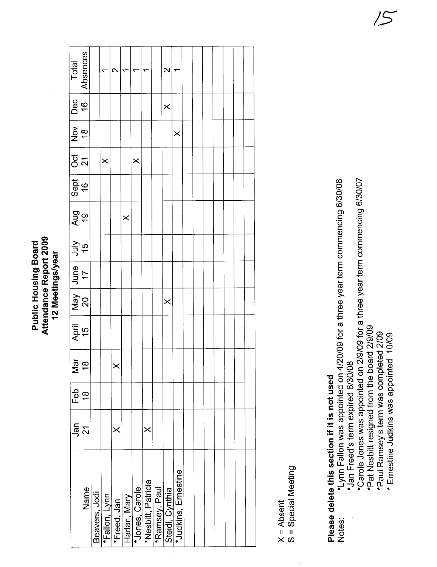Attendance Report 2009 **Public Housing Board** 12 Meetings/year

| Total                                                                                                                                                                                                                                                                                                                                                                                                                                                    | Absences               |                                | $\mathbf{\Omega}$ |              |                |                    |               | $\mathbf{\Omega}$ |                     |  |  |  |  |
|----------------------------------------------------------------------------------------------------------------------------------------------------------------------------------------------------------------------------------------------------------------------------------------------------------------------------------------------------------------------------------------------------------------------------------------------------------|------------------------|--------------------------------|-------------------|--------------|----------------|--------------------|---------------|-------------------|---------------------|--|--|--|--|
| Dec<br>16                                                                                                                                                                                                                                                                                                                                                                                                                                                |                        |                                |                   |              |                |                    |               | $\times$          |                     |  |  |  |  |
| $rac{8}{10}$                                                                                                                                                                                                                                                                                                                                                                                                                                             |                        |                                |                   |              |                |                    |               |                   | $\times$            |  |  |  |  |
| 0ct<br>21                                                                                                                                                                                                                                                                                                                                                                                                                                                |                        | $\times$                       |                   |              | $\times$       |                    |               |                   |                     |  |  |  |  |
|                                                                                                                                                                                                                                                                                                                                                                                                                                                          | $rac{\text{Sept}}{16}$ |                                |                   |              |                |                    |               |                   |                     |  |  |  |  |
| <b>Aug</b><br>19                                                                                                                                                                                                                                                                                                                                                                                                                                         |                        |                                |                   | $\times$     |                |                    |               |                   |                     |  |  |  |  |
| $\begin{array}{c c} \n\text{Amp} & \text{or} & \text{or} & \text{or} & \text{or} & \text{or} & \text{or} & \text{or} & \text{or} & \text{or} & \text{or} & \text{or} & \text{or} & \text{or} & \text{or} & \text{or} & \text{or} & \text{or} & \text{or} & \text{or} & \text{or} & \text{or} & \text{or} & \text{or} & \text{or} & \text{or} & \text{or} & \text{or} & \text{or} & \text{or} & \text{or} & \text{or} & \text{or} & \text{or} & \text{or$ |                        |                                |                   |              |                |                    |               |                   |                     |  |  |  |  |
| May<br>20<br>17                                                                                                                                                                                                                                                                                                                                                                                                                                          |                        |                                |                   |              |                |                    |               |                   |                     |  |  |  |  |
|                                                                                                                                                                                                                                                                                                                                                                                                                                                          |                        |                                |                   |              |                |                    |               | $\times$          |                     |  |  |  |  |
|                                                                                                                                                                                                                                                                                                                                                                                                                                                          | April<br>15            |                                |                   |              |                |                    |               |                   |                     |  |  |  |  |
|                                                                                                                                                                                                                                                                                                                                                                                                                                                          | $\frac{5}{18}$         |                                |                   |              |                |                    |               |                   |                     |  |  |  |  |
| Feb                                                                                                                                                                                                                                                                                                                                                                                                                                                      | $\frac{8}{10}$         |                                |                   |              |                |                    |               |                   |                     |  |  |  |  |
| Jan                                                                                                                                                                                                                                                                                                                                                                                                                                                      | 21                     |                                | $\times$          |              |                | $\times$           |               |                   |                     |  |  |  |  |
|                                                                                                                                                                                                                                                                                                                                                                                                                                                          | Name                   | Beavers, Jodi<br>*Fallon, Lynn | *Freed, Jan       | Harlan, Mary | *Jones, Carole | *Nesbitt, Patricia | *Ramsey, Paul | Steidl, Cynthia   | *Judkins, Ernestine |  |  |  |  |

X = Absent<br>S = Special Meeting

## Please delete this section if it is not used

\*Lynn Fallon was appointed on 4/20/09 for a three year term commencing 6/30/08 \*Jan Freed's term expired 6/30/08 Notes:

\*Carole Jones was appointed on 2/9/09 for a three year term commencing 6/30/07

\*Pat Nesbitt resigned from the board 2/9/09 \*Paul Ramsey's term was completed 2/09

\* Ernestine Judkins was appointed 10/09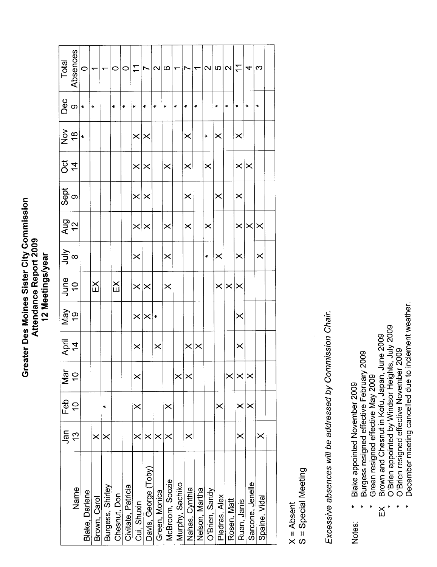Greater Des Moines Sister City Commission Greater Des Moines Sister City Commission Attendance Report 2009 Attendance Report 2009 12 Meetings/year 12 Meetings/year

|                      | Jan                   | Feb           | Nar                       | April          | Nay            | June          |                        |                |           | Ö              | $rac{8}{2}$ | Dec                  | Total                    |
|----------------------|-----------------------|---------------|---------------------------|----------------|----------------|---------------|------------------------|----------------|-----------|----------------|-------------|----------------------|--------------------------|
| Name                 | $\frac{3}{2}$         | $\frac{1}{2}$ | $\widetilde{\phantom{a}}$ | $\overline{4}$ | $\overline{6}$ | $\frac{0}{1}$ | $\frac{1}{2}$ $\infty$ | $\frac{2}{12}$ | Sept<br>9 | $\overline{4}$ |             | $\infty$             | Absences                 |
| Blake, Darlene       |                       |               |                           |                |                |               |                        |                |           |                | ¥           | ×                    | $\circ$                  |
| Brown, Carol         | $\times$              |               |                           |                |                | $\mathbb{K}$  |                        |                |           |                |             | ×                    | ᡪ                        |
| Burgess, Shirley     | $\times$              | $\ddot{}$     |                           |                |                |               |                        |                |           |                |             |                      | ᡪ                        |
| Chesnut, Don         |                       |               |                           |                |                | $\mathbb{E}$  |                        |                |           |                |             | $\ast$               | $\circ$                  |
| Civitate, Patricia   |                       |               |                           |                |                |               |                        |                |           |                |             | ¥                    | $\circ$                  |
| Cui, Shuxin          | $\times$              | $\times$      | $\times$                  | $\times$       | $\times$       | $\times$      | $\times$               | $\times$       | $\times$  | $\times$       | $\times$    | ¥                    | $\mathbf{r}$             |
| Davis, George (Toby) | $\boldsymbol{\times}$ |               |                           |                | $\times$       | $\times$      |                        | $\times$       | $\times$  | $\times$       | $\times$    | $\ddot{\phantom{1}}$ | Ľ                        |
| Green, Monica        | $\times$              |               |                           | $\times$       | ×              |               |                        |                |           |                |             | ×                    | $\boldsymbol{\sim}$      |
| McBroom, Soozie      | ×                     | $\times$      |                           |                |                | $\times$      | $\times$               | $\times$       |           | $\times$       |             | ¥                    | $\circ$                  |
| Murphy, Sachiko      |                       |               | $\times$                  |                |                |               |                        |                |           |                |             | ¥                    | $\overline{\phantom{0}}$ |
| Nahas, Cynthia       | $\times$              |               | ×                         | $\times$       |                |               |                        | $\times$       | $\times$  | $\times$       | $\times$    | $\ddot{}$            | Ľ                        |
| Nelson, Martha       |                       |               |                           | $\times$       |                |               |                        |                |           |                |             | ×                    | ۳                        |
| O'Brien, Sandy       |                       |               |                           |                |                |               | $\ddot{\ast}$          | $\times$       |           | $\times$       | ¥           |                      | $\mathbf{\Omega}$        |
| Piedras, Alex        |                       | $\times$      |                           |                |                | $\times$      | $\times$               |                | $\times$  |                | $\times$    | $\star$              | ပ                        |
| Rosen, Matt          |                       |               | $\times$                  |                |                | $\times$      |                        |                |           |                |             | $\ast$               | $\mathbf{\Omega}$        |
| Ruan, Janis          | $\times$              | $\times$      | $\times$                  | $\times$       | $\times$       | $\times$      | $\times$               | $\times$       | $\times$  | $\times$       | $\times$    | $\star$              | $\mathbf{r}$             |
| Sarcone, Jenelle     |                       | $\times$      | $\times$                  |                |                |               |                        | $\times$       |           | ×              |             | $\star$              | 4                        |
| Spaine, Vidal        | $\times$              |               |                           |                |                |               | $\times$               | ∣≍             |           |                |             | $\star$              | က                        |
|                      |                       |               |                           |                |                |               |                        |                |           |                |             |                      |                          |

X = Absent<br>S = Special Meeting S = Special Meeting Excessive absences will be addressed by Commission Chair. Excessive absences wil be addressed by Commission Chair.

Blake appointed November 2009 Notes: \* Blake appointed November 2009 Notes:

- Burgess resigned effective February 2009 \* Burgess resigned effective February 2009
	- Green resigned effective May 2009 \* Green resigned effective May 2009
- Brown and Chesnut in Kofu, Japan, June 2009 EX Brown and Chesnut in Kofu, Japan, June 2009  $\breve{\Xi}$
- O'Brien appointed by Windsor Heights, July 2009 \* O'Brien appointed by Windsor Heights, July 2009
	- O'Brien resigned effective November 2009 \* O'Brien resigned effective November 2009
- December meeting cancelled due to inclement weather. \* December meeting cancelled due to inclement weather. $\ddot{\phantom{1}}$